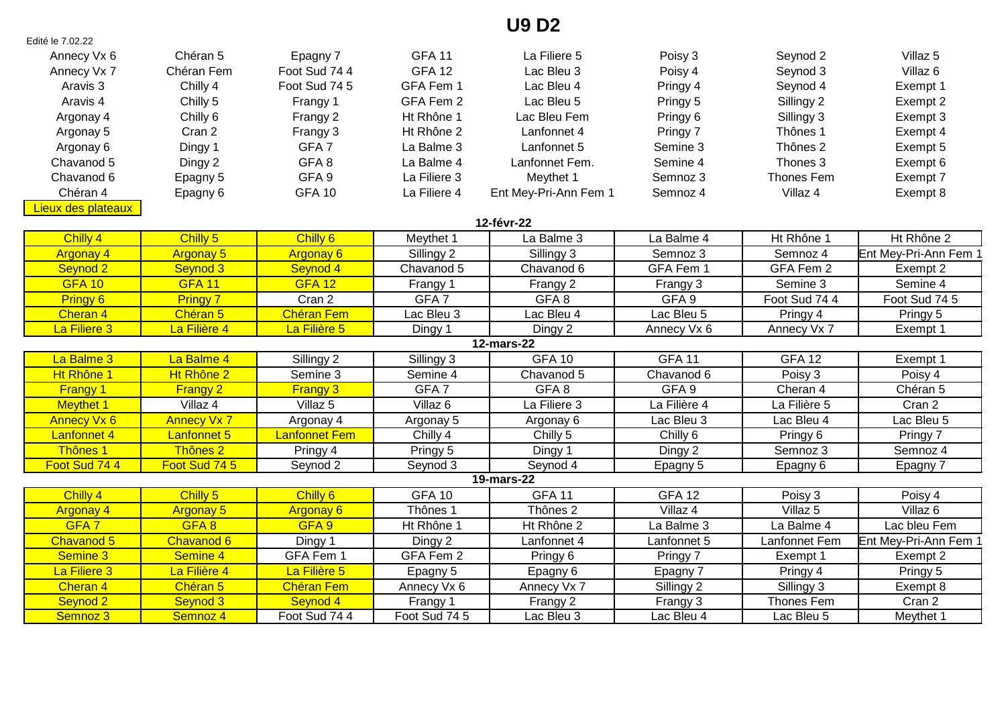## **U9 D2**

| Edité le 7.02.22    |                     |                      |                     |                       |                  |                     |                       |  |  |
|---------------------|---------------------|----------------------|---------------------|-----------------------|------------------|---------------------|-----------------------|--|--|
| Annecy Vx 6         | Chéran 5            | Epagny 7             | <b>GFA 11</b>       | La Filiere 5          | Poisy 3          | Seynod 2            | Villaz <sub>5</sub>   |  |  |
| Annecy Vx 7         | Chéran Fem          | Foot Sud 74 4        | <b>GFA 12</b>       | Lac Bleu 3            | Poisy 4          | Seynod 3            | Villaz <sub>6</sub>   |  |  |
| Aravis <sub>3</sub> | Chilly 4            | Foot Sud 74 5        | GFA Fem 1           | Lac Bleu 4            | Pringy 4         | Seynod 4            | Exempt 1              |  |  |
| Aravis 4            | Chilly 5            | Frangy 1             | GFA Fem 2           | Lac Bleu 5            | Pringy 5         | Sillingy 2          | Exempt 2              |  |  |
| Argonay 4           | Chilly 6            | Frangy 2             | Ht Rhône 1          | Lac Bleu Fem          | Pringy 6         | Sillingy 3          | Exempt 3              |  |  |
| Argonay 5           | Cran 2              | Frangy 3             | Ht Rhône 2          | Lanfonnet 4           | Pringy 7         | Thônes 1            | Exempt 4              |  |  |
| Argonay 6           | Dingy 1             | GFA <sub>7</sub>     | La Balme 3          | Lanfonnet 5           | Semine 3         | Thônes 2            | Exempt 5              |  |  |
| Chavanod 5          | Dingy 2             | GFA8                 | La Balme 4          | Lanfonnet Fem.        | Semine 4         | Thones 3            | Exempt 6              |  |  |
| Chavanod 6          | Epagny 5            | GFA <sub>9</sub>     | La Filiere 3        | Meythet 1             | Semnoz 3         | Thones Fem          | Exempt 7              |  |  |
| Chéran 4            | Epagny 6            | <b>GFA 10</b>        | La Filiere 4        | Ent Mey-Pri-Ann Fem 1 | Semnoz 4         | Villaz 4            | Exempt 8              |  |  |
| Lieux des plateaux  |                     |                      |                     |                       |                  |                     |                       |  |  |
|                     |                     |                      |                     | 12-févr-22            |                  |                     |                       |  |  |
| Chilly 4            | Chilly 5            | Chilly 6             | Meythet 1           | La Balme 3            | La Balme 4       | Ht Rhône 1          | Ht Rhône 2            |  |  |
| <b>Argonay 4</b>    | <b>Argonay 5</b>    | <b>Argonay 6</b>     | Sillingy 2          | Sillingy 3            | Semnoz 3         | Semnoz 4            | Ent Mey-Pri-Ann Fem 1 |  |  |
| Seynod <sub>2</sub> | Seynod 3            | Seynod 4             | Chavanod 5          | Chavanod 6            | GFA Fem 1        | GFA Fem 2           | Exempt 2              |  |  |
| <b>GFA 10</b>       | <b>GFA 11</b>       | <b>GFA 12</b>        | Frangy 1            | Frangy 2              | Frangy 3         | Semine 3            | Semine 4              |  |  |
| Pringy 6            | <b>Pringy 7</b>     | Cran 2               | GFA <sub>7</sub>    | GFA8                  | GFA <sub>9</sub> | Foot Sud 74 4       | Foot Sud 74 5         |  |  |
| Cheran 4            | Chéran <sub>5</sub> | <b>Chéran Fem</b>    | Lac Bleu 3          | Lac Bleu 4            | Lac Bleu 5       | Pringy 4            | Pringy 5              |  |  |
| La Filiere 3        | La Filière 4        | La Filière 5         | Dingy 1             | Dingy 2               | Annecy Vx 6      | Annecy Vx 7         | Exempt 1              |  |  |
| <b>12-mars-22</b>   |                     |                      |                     |                       |                  |                     |                       |  |  |
| La Balme 3          | La Balme 4          | Sillingy 2           | Sillingy 3          | <b>GFA 10</b>         | <b>GFA 11</b>    | <b>GFA 12</b>       | Exempt 1              |  |  |
| Ht Rhône 1          | Ht Rhône 2          | Semine 3             | Semine 4            | Chavanod 5            | Chavanod 6       | Poisy 3             | Poisy 4               |  |  |
| <b>Frangy 1</b>     | <b>Frangy 2</b>     | <b>Frangy 3</b>      | GFA <sub>7</sub>    | GFA8                  | GFA <sub>9</sub> | Cheran 4            | Chéran 5              |  |  |
| <b>Meythet 1</b>    | Villaz 4            | Villaz <sub>5</sub>  | Villaz <sub>6</sub> | La Filiere 3          | La Filière 4     | La Filière 5        | Cran 2                |  |  |
| <b>Annecy Vx 6</b>  | <b>Annecy Vx 7</b>  | Argonay 4            | Argonay 5           | Argonay 6             | Lac Bleu 3       | Lac Bleu 4          | Lac Bleu 5            |  |  |
| <b>Lanfonnet 4</b>  | Lanfonnet 5         | <b>Lanfonnet Fem</b> | Chilly 4            | Chilly 5              | Chilly 6         | Pringy 6            | Pringy 7              |  |  |
| Thônes 1            | Thônes 2            | Pringy 4             | Pringy 5            | Dingy 1               | Dingy 2          | Semnoz 3            | Semnoz 4              |  |  |
| Foot Sud 744        | Foot Sud 74 5       | Seynod 2             | Seynod 3            | Seynod 4              | Epagny 5         | Epagny 6            | Epagny 7              |  |  |
|                     |                     |                      |                     | <b>19-mars-22</b>     |                  |                     |                       |  |  |
| Chilly 4            | Chilly 5            | Chilly 6             | <b>GFA 10</b>       | <b>GFA 11</b>         | <b>GFA 12</b>    | Poisy 3             | Poisy 4               |  |  |
| <b>Argonay 4</b>    | <b>Argonay 5</b>    | <b>Argonay 6</b>     | Thônes 1            | Thônes 2              | Villaz 4         | Villaz <sub>5</sub> | Villaz 6              |  |  |
| GFA <sub>7</sub>    | GFA8                | GFA <sub>9</sub>     | Ht Rhône 1          | Ht Rhône 2            | La Balme 3       | La Balme 4          | Lac bleu Fem          |  |  |
| Chavanod 5          | Chavanod 6          | Dingy 1              | Dingy 2             | Lanfonnet 4           | Lanfonnet 5      | Lanfonnet Fem       | Ent Mey-Pri-Ann Fem 1 |  |  |
| Semine 3            | Semine 4            | GFA Fem 1            | GFA Fem 2           | Pringy 6              | Pringy 7         | Exempt 1            | Exempt 2              |  |  |
| La Filiere 3        | La Filière 4        | La Filière 5         | Epagny 5            | Epagny 6              | Epagny 7         | Pringy 4            | Pringy 5              |  |  |
| Cheran 4            | Chéran 5            | <b>Chéran Fem</b>    | Annecy Vx 6         | Annecy Vx 7           | Sillingy 2       | Sillingy 3          | Exempt 8              |  |  |
| Seynod 2            | Seynod 3            | Seynod 4             | Frangy 1            | Frangy 2              | Frangy 3         | Thones Fem          | Cran 2                |  |  |
| Semnoz 3            | Semnoz 4            | Foot Sud 74 4        | Foot Sud 74 5       | Lac Bleu 3            | Lac Bleu 4       | Lac Bleu 5          | Meythet 1             |  |  |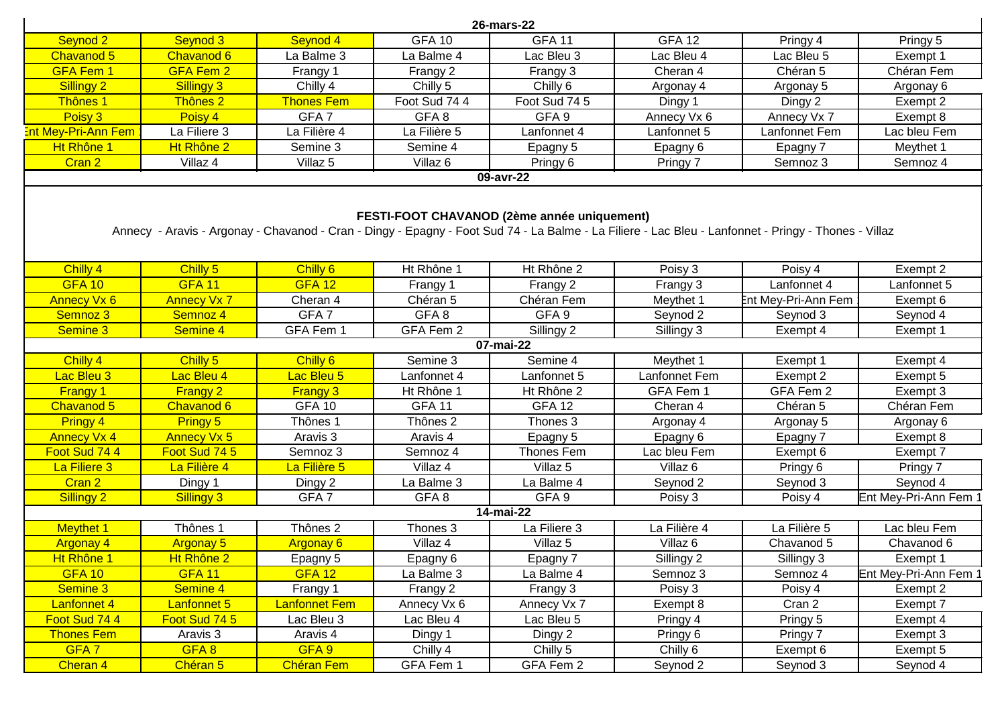|                            |                     |                     |               | 26-mars-22                                                                                                                                                                                          |                     |                     |                       |
|----------------------------|---------------------|---------------------|---------------|-----------------------------------------------------------------------------------------------------------------------------------------------------------------------------------------------------|---------------------|---------------------|-----------------------|
| Seynod 2                   | Seynod 3            | Seynod 4            | <b>GFA 10</b> | <b>GFA 11</b>                                                                                                                                                                                       | <b>GFA 12</b>       | Pringy 4            | Pringy 5              |
| Chavanod 5                 | Chavanod 6          | La Balme 3          | La Balme 4    | Lac Bleu 3                                                                                                                                                                                          | Lac Bleu 4          | Lac Bleu 5          | Exempt 1              |
| <b>GFA Fem 1</b>           | <b>GFA Fem 2</b>    | Frangy 1            | Frangy 2      | Frangy 3                                                                                                                                                                                            | Cheran 4            | Chéran 5            | Chéran Fem            |
| Sillingy 2                 | Sillingy 3          | Chilly 4            | Chilly 5      | Chilly 6                                                                                                                                                                                            | Argonay 4           | Argonay 5           | Argonay 6             |
| Thônes 1                   | Thônes 2            | <b>Thones Fem</b>   | Foot Sud 74 4 | Foot Sud 74 5                                                                                                                                                                                       | Dingy 1             | Dingy 2             | Exempt 2              |
| Poisy 3                    | Poisy 4             | GFA <sub>7</sub>    | GFA8          | GFA <sub>9</sub>                                                                                                                                                                                    | Annecy Vx 6         | Annecy Vx 7         | Exempt 8              |
| <b>Ent Mey-Pri-Ann Fem</b> | La Filiere 3        | La Filière 4        | La Filière 5  | Lanfonnet 4                                                                                                                                                                                         | Lanfonnet 5         | Lanfonnet Fem       | Lac bleu Fem          |
| Ht Rhône 1                 | Ht Rhône 2          | Semine 3            | Semine 4      | Epagny 5                                                                                                                                                                                            | Epagny 6            | Epagny 7            | Meythet 1             |
| Cran 2                     | Villaz 4            | Villaz 5            | Villaz 6      | Pringy 6                                                                                                                                                                                            | Pringy 7            | Semnoz 3            | Semnoz 4              |
|                            |                     |                     |               | 09-avr-22                                                                                                                                                                                           |                     |                     |                       |
|                            |                     |                     |               | FESTI-FOOT CHAVANOD (2ème année uniquement)<br>Annecy - Aravis - Argonay - Chavanod - Cran - Dingy - Epagny - Foot Sud 74 - La Balme - La Filiere - Lac Bleu - Lanfonnet - Pringy - Thones - Villaz |                     |                     |                       |
| Chilly 4                   | Chilly 5            | Chilly 6            | Ht Rhône 1    | Ht Rhône 2                                                                                                                                                                                          | Poisy 3             | Poisy 4             | Exempt 2              |
| <b>GFA 10</b>              | <b>GFA 11</b>       | <b>GFA 12</b>       | Frangy 1      | Frangy 2                                                                                                                                                                                            | Frangy 3            | Lanfonnet 4         | Lanfonnet 5           |
| <b>Annecy Vx 6</b>         | <b>Annecy Vx 7</b>  | Cheran 4            | Chéran 5      | Chéran Fem                                                                                                                                                                                          | Meythet 1           | Ent Mey-Pri-Ann Fem | Exempt 6              |
| Semnoz 3                   | Semnoz 4            | GFA <sub>7</sub>    | GFA8          | GFA <sub>9</sub>                                                                                                                                                                                    | Seynod 2            | Seynod 3            | Seynod 4              |
| Semine 3                   | Semine 4            | GFA Fem 1           | GFA Fem 2     | Sillingy 2                                                                                                                                                                                          | Sillingy 3          | Exempt 4            | Exempt 1              |
|                            |                     |                     |               | 07-mai-22                                                                                                                                                                                           |                     |                     |                       |
| Chilly 4                   | Chilly 5            | Chilly 6            | Semine 3      | Semine 4                                                                                                                                                                                            | Meythet 1           | Exempt 1            | Exempt 4              |
| Lac Bleu 3                 | Lac Bleu 4          | Lac Bleu 5          | Lanfonnet 4   | Lanfonnet 5                                                                                                                                                                                         | Lanfonnet Fem       | Exempt 2            | Exempt 5              |
| <b>Frangy 1</b>            | <b>Frangy 2</b>     | <b>Frangy 3</b>     | Ht Rhône 1    | Ht Rhône 2                                                                                                                                                                                          | GFA Fem 1           | GFA Fem 2           | Exempt 3              |
| Chavanod 5                 | Chavanod 6          | <b>GFA 10</b>       | <b>GFA 11</b> | <b>GFA 12</b>                                                                                                                                                                                       | Cheran 4            | Chéran 5            | Chéran Fem            |
| Pringy 4                   | <b>Pringy 5</b>     | Thônes 1            | Thônes 2      | Thones 3                                                                                                                                                                                            | Argonay 4           | Argonay 5           | Argonay 6             |
| <b>Annecy Vx 4</b>         | <b>Annecy Vx 5</b>  | Aravis <sub>3</sub> | Aravis 4      | Epagny 5                                                                                                                                                                                            | Epagny 6            | Epagny 7            | Exempt 8              |
| Foot Sud 744               | Foot Sud 74 5       | Semnoz 3            | Semnoz 4      | Thones Fem                                                                                                                                                                                          | Lac bleu Fem        | Exempt 6            | Exempt 7              |
| La Filiere 3               | La Filière 4        | La Filière 5        | Villaz 4      | Villaz 5                                                                                                                                                                                            | Villaz <sub>6</sub> | Pringy 6            | Pringy 7              |
| Cran 2                     | Dingy 1             | Dingy 2             | La Balme 3    | La Balme 4                                                                                                                                                                                          | Seynod 2            | Seynod 3            | Seynod 4              |
| Sillingy 2                 | Sillingy 3          | GFA <sub>7</sub>    | GFA8          | GFA <sub>9</sub>                                                                                                                                                                                    | Poisy 3             | Poisy 4             | Ent Mey-Pri-Ann Fem ' |
|                            |                     |                     |               | 14-mai-22                                                                                                                                                                                           |                     |                     |                       |
| <b>Meythet 1</b>           | Thônes 1            | Thônes 2            | Thones 3      | La Filiere 3                                                                                                                                                                                        | La Filière 4        | La Filière 5        | Lac bleu Fem          |
| <b>Argonay 4</b>           | <b>Argonay 5</b>    | <b>Argonay 6</b>    | Villaz 4      | Villaz 5                                                                                                                                                                                            | Villaz 6            | Chavanod 5          | Chavanod 6            |
| Ht Rhône 1                 | Ht Rhône 2          | Epagny 5            | Epagny 6      | Epagny 7                                                                                                                                                                                            | Sillingy 2          | Sillingy 3          | Exempt 1              |
| <b>GFA 10</b>              | <b>GFA 11</b>       | <b>GFA 12</b>       | La Balme 3    | La Balme 4                                                                                                                                                                                          | Semnoz 3            | Semnoz 4            | Ent Mey-Pri-Ann Fem 1 |
| Semine 3                   | Semine 4            | Frangy 1            | Frangy 2      | Frangy 3                                                                                                                                                                                            | Poisy 3             | Poisy 4             | Exempt 2              |
|                            | Lanfonnet 5         | Lanfonnet Fem       | Annecy Vx 6   | Annecy Vx 7                                                                                                                                                                                         | Exempt 8            | Cran 2              | Exempt 7              |
| Lanfonnet 4                |                     |                     |               |                                                                                                                                                                                                     | Pringy 4            | Pringy 5            | Exempt 4              |
| Foot Sud 74 4              | Foot Sud 74 5       | Lac Bleu 3          | Lac Bleu 4    | Lac Bleu 5                                                                                                                                                                                          |                     |                     |                       |
| <b>Thones Fem</b>          | Aravis <sub>3</sub> | Aravis 4            | Dingy 1       | Dingy 2                                                                                                                                                                                             | Pringy 6            | Pringy 7            | Exempt 3              |
| GFA <sub>7</sub>           | GFA8                | GFA <sub>9</sub>    | Chilly 4      | Chilly 5                                                                                                                                                                                            | Chilly 6            | Exempt 6            | Exempt 5              |